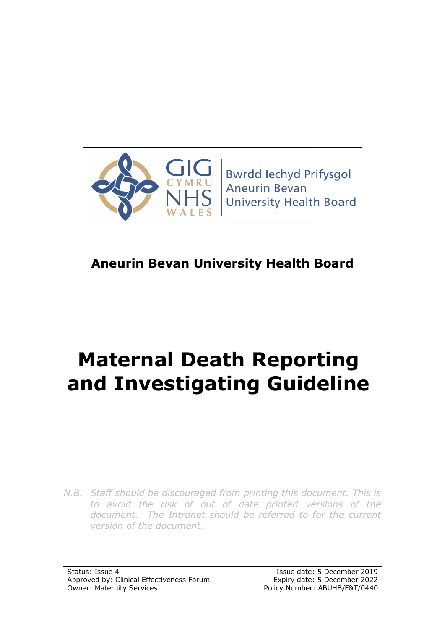

# **Aneurin Bevan University Health Board**

# **Maternal Death Reporting and Investigating Guideline**

*N.B. Staff should be discouraged from printing this document. This is to avoid the risk of out of date printed versions of the document. The Intranet should be referred to for the current version of the document.*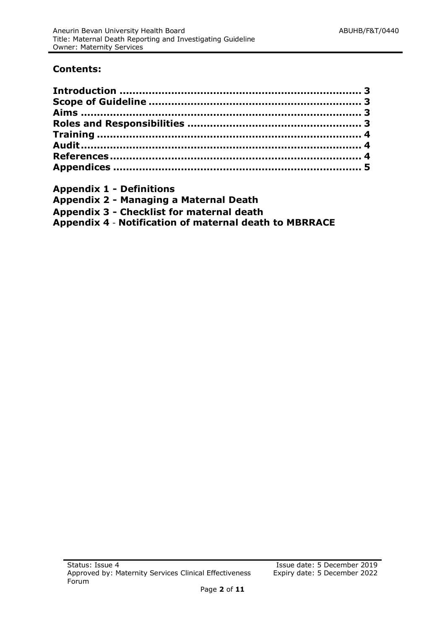#### **Contents:**

- **Appendix 1 - Definitions**
- **Appendix 2 - Managing a Maternal Death**

**Appendix 3 - Checklist for maternal death**

**Appendix 4** - **Notification of maternal death to MBRRACE**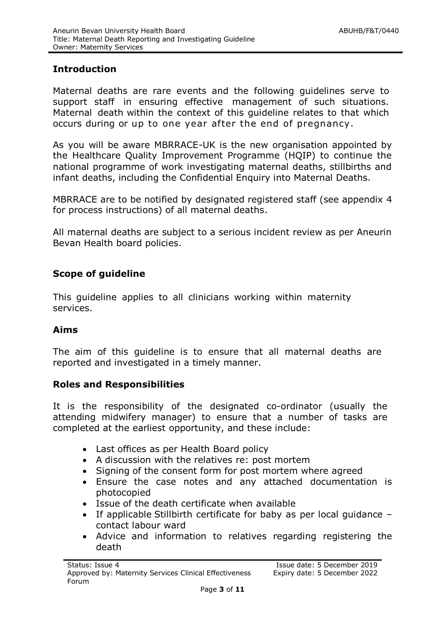#### <span id="page-2-0"></span>**Introduction**

Maternal deaths are rare events and the following guidelines serve to support staff in ensuring effective management of such situations. Maternal death within the context of this guideline relates to that which occurs during or up to one year after the end of pregnancy.

As you will be aware MBRRACE-UK is the new organisation appointed by the Healthcare Quality Improvement Programme (HQIP) to continue the national programme of work investigating maternal deaths, stillbirths and infant deaths, including the Confidential Enquiry into Maternal Deaths.

MBRRACE are to be notified by designated registered staff (see appendix 4 for process instructions) of all maternal deaths.

All maternal deaths are subject to a serious incident review as per Aneurin Bevan Health board policies.

### **Scope of guideline**

This guideline applies to all clinicians working within maternity services.

#### <span id="page-2-1"></span>**Aims**

The aim of this guideline is to ensure that all maternal deaths are reported and investigated in a timely manner.

#### **Roles and Responsibilities**

It is the responsibility of the designated co-ordinator (usually the attending midwifery manager) to ensure that a number of tasks are completed at the earliest opportunity, and these include:

- <span id="page-2-2"></span>Last offices as per Health Board policy
- A discussion with the relatives re: post mortem
- Signing of the consent form for post mortem where agreed
- Ensure the case notes and any attached documentation is photocopied
- Issue of the death certificate when available
- If applicable Stillbirth certificate for baby as per local guidance contact labour ward
- Advice and information to relatives regarding registering the death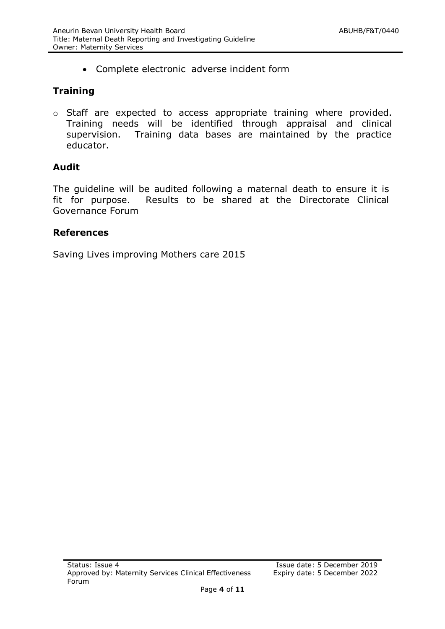<span id="page-3-0"></span>Complete electronic adverse incident form

# **Training**

o Staff are expected to access appropriate training where provided. Training needs will be identified through appraisal and clinical supervision. Training data bases are maintained by the practice educator.

# <span id="page-3-1"></span>**Audit**

The guideline will be audited following a maternal death to ensure it is fit for purpose. Results to be shared at the Directorate Clinical Governance Forum

# <span id="page-3-2"></span>**References**

Saving Lives improving Mothers care 2015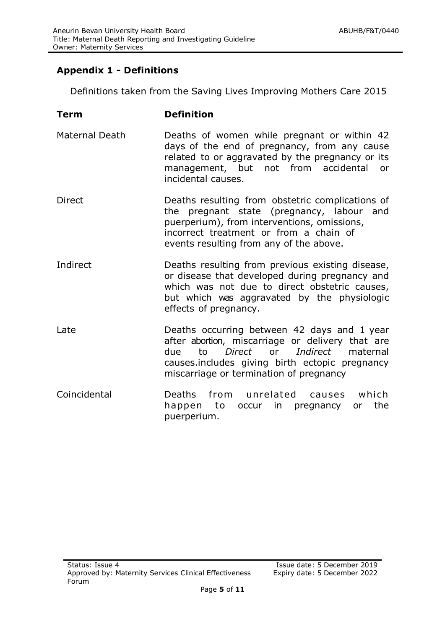# **Appendix 1 - Definitions**

Definitions taken from the Saving Lives Improving Mothers Care 2015

| Term                  | <b>Definition</b>                                                                                                                                                                                                                        |
|-----------------------|------------------------------------------------------------------------------------------------------------------------------------------------------------------------------------------------------------------------------------------|
| <b>Maternal Death</b> | Deaths of women while pregnant or within 42<br>days of the end of pregnancy, from any cause<br>related to or aggravated by the pregnancy or its<br>management, but not from accidental<br>or<br>incidental causes.                       |
| Direct                | Deaths resulting from obstetric complications of<br>the pregnant state (pregnancy, labour and<br>puerperium), from interventions, omissions,<br>incorrect treatment or from a chain of<br>events resulting from any of the above.        |
| Indirect              | Deaths resulting from previous existing disease,<br>or disease that developed during pregnancy and<br>which was not due to direct obstetric causes,<br>but which was aggravated by the physiologic<br>effects of pregnancy.              |
| Late                  | Deaths occurring between 42 days and 1 year<br>after abortion, miscarriage or delivery that are<br>Direct or Indirect maternal<br>due<br>to<br>causes.includes giving birth ectopic pregnancy<br>miscarriage or termination of pregnancy |
| Coincidental          | Deaths from unrelated causes which<br>the<br>happen to occur in pregnancy or<br>puerperium.                                                                                                                                              |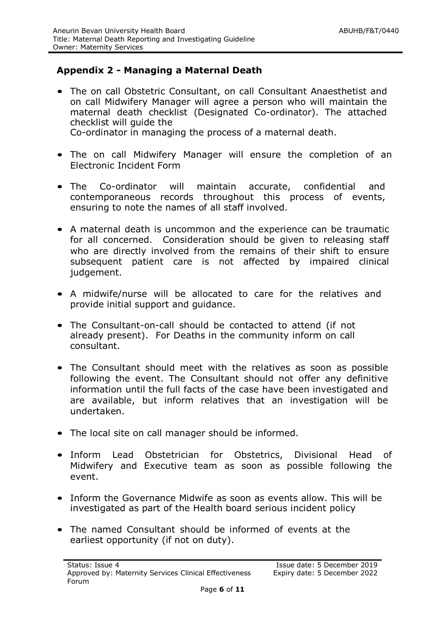# **Appendix 2 - Managing a Maternal Death**

- The on call Obstetric Consultant, on call Consultant Anaesthetist and on call Midwifery Manager will agree a person who will maintain the maternal death checklist (Designated Co-ordinator). The attached checklist will guide the Co-ordinator in managing the process of a maternal death.
- The on call Midwifery Manager will ensure the completion of an Electronic Incident Form
- The Co-ordinator will maintain accurate, confidential and contemporaneous records throughout this process of events, ensuring to note the names of all staff involved.
- A maternal death is uncommon and the experience can be traumatic for all concerned. Consideration should be given to releasing staff who are directly involved from the remains of their shift to ensure subsequent patient care is not affected by impaired clinical judgement.
- A midwife/nurse will be allocated to care for the relatives and provide initial support and guidance.
- The Consultant-on-call should be contacted to attend (if not already present). For Deaths in the community inform on call consultant.
- The Consultant should meet with the relatives as soon as possible following the event. The Consultant should not offer any definitive information until the full facts of the case have been investigated and are available, but inform relatives that an investigation will be undertaken.
- The local site on call manager should be informed.
- Inform Lead Obstetrician for Obstetrics, Divisional Head of Midwifery and Executive team as soon as possible following the event.
- Inform the Governance Midwife as soon as events allow. This will be investigated as part of the Health board serious incident policy
- The named Consultant should be informed of events at the earliest opportunity (if not on duty).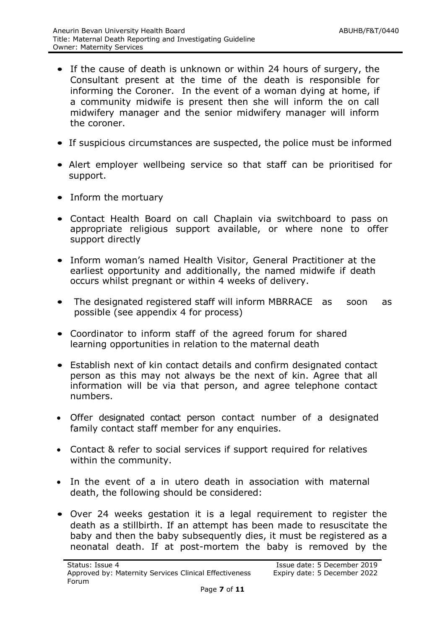- If the cause of death is unknown or within 24 hours of surgery, the Consultant present at the time of the death is responsible for informing the Coroner. In the event of a woman dying at home, if a community midwife is present then she will inform the on call midwifery manager and the senior midwifery manager will inform the coroner.
- If suspicious circumstances are suspected, the police must be informed
- Alert employer wellbeing service so that staff can be prioritised for support.
- Inform the mortuary
- Contact Health Board on call Chaplain via switchboard to pass on appropriate religious support available, or where none to offer support directly
- Inform woman's named Health Visitor, General Practitioner at the earliest opportunity and additionally, the named midwife if death occurs whilst pregnant or within 4 weeks of delivery.
- The designated registered staff will inform MBRRACE as soon as possible (see appendix 4 for process)
- Coordinator to inform staff of the agreed forum for shared learning opportunities in relation to the maternal death
- Establish next of kin contact details and confirm designated contact person as this may not always be the next of kin. Agree that all information will be via that person, and agree telephone contact numbers.
- Offer designated contact person contact number of a designated family contact staff member for any enquiries.
- Contact & refer to social services if support required for relatives within the community.
- In the event of a in utero death in association with maternal death, the following should be considered:
- Over 24 weeks gestation it is a legal requirement to register the death as a stillbirth. If an attempt has been made to resuscitate the baby and then the baby subsequently dies, it must be registered as a neonatal death. If at post-mortem the baby is removed by the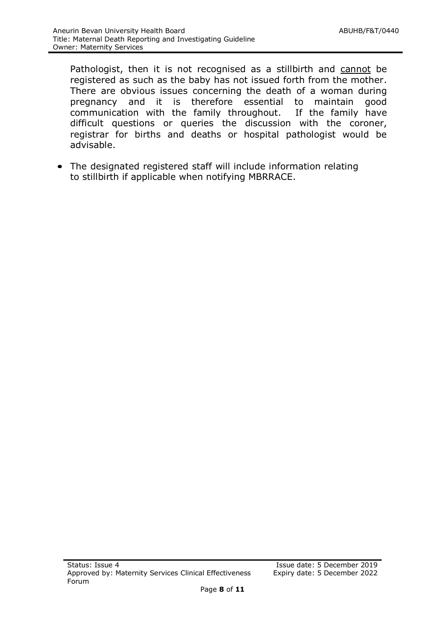Pathologist, then it is not recognised as a stillbirth and cannot be registered as such as the baby has not issued forth from the mother. There are obvious issues concerning the death of a woman during pregnancy and it is therefore essential to maintain good communication with the family throughout. If the family have difficult questions or queries the discussion with the coroner, registrar for births and deaths or hospital pathologist would be advisable.

• The designated registered staff will include information relating to stillbirth if applicable when notifying MBRRACE.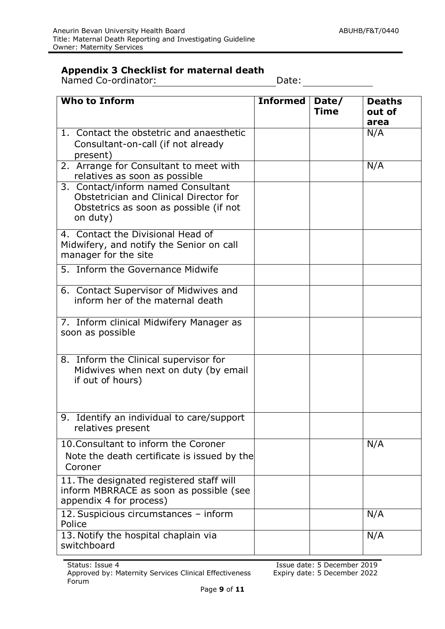### **Appendix 3 Checklist for maternal death**

Named Co-ordinator: Date: Date: Date:

| <b>Who to Inform</b>                                                                                                               | <b>Informed</b> | Date/<br><b>Time</b> | <b>Deaths</b><br>out of |
|------------------------------------------------------------------------------------------------------------------------------------|-----------------|----------------------|-------------------------|
|                                                                                                                                    |                 |                      | area                    |
| 1. Contact the obstetric and anaesthetic<br>Consultant-on-call (if not already<br>present)                                         |                 |                      | N/A                     |
| 2. Arrange for Consultant to meet with<br>relatives as soon as possible                                                            |                 |                      | N/A                     |
| 3. Contact/inform named Consultant<br>Obstetrician and Clinical Director for<br>Obstetrics as soon as possible (if not<br>on duty) |                 |                      |                         |
| 4. Contact the Divisional Head of<br>Midwifery, and notify the Senior on call<br>manager for the site                              |                 |                      |                         |
| 5. Inform the Governance Midwife                                                                                                   |                 |                      |                         |
| 6. Contact Supervisor of Midwives and<br>inform her of the maternal death                                                          |                 |                      |                         |
| 7. Inform clinical Midwifery Manager as<br>soon as possible                                                                        |                 |                      |                         |
| 8. Inform the Clinical supervisor for<br>Midwives when next on duty (by email<br>if out of hours)                                  |                 |                      |                         |
| 9. Identify an individual to care/support<br>relatives present                                                                     |                 |                      |                         |
| 10. Consultant to inform the Coroner<br>Note the death certificate is issued by the<br>Coroner                                     |                 |                      | N/A                     |
| 11. The designated registered staff will<br>inform MBRRACE as soon as possible (see<br>appendix 4 for process)                     |                 |                      |                         |
| 12. Suspicious circumstances - inform<br>Police                                                                                    |                 |                      | N/A                     |
| 13. Notify the hospital chaplain via<br>switchboard                                                                                |                 |                      | N/A                     |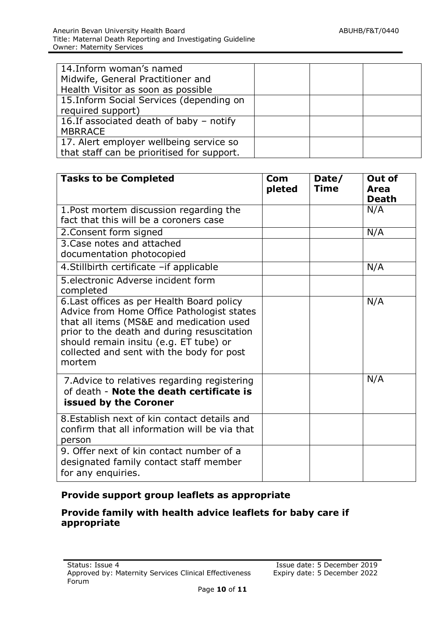| 14. Inform woman's named<br>Midwife, General Practitioner and<br>Health Visitor as soon as possible |  |  |
|-----------------------------------------------------------------------------------------------------|--|--|
| 15. Inform Social Services (depending on<br>required support)                                       |  |  |
| 16. If associated death of baby - notify<br><b>MBRRACE</b>                                          |  |  |
| 17. Alert employer wellbeing service so<br>that staff can be prioritised for support.               |  |  |

| <b>Tasks to be Completed</b>                                                                                                                                                                                                                                                         | Com<br>pleted | Date/<br><b>Time</b> | Out of<br>Area<br><b>Death</b> |
|--------------------------------------------------------------------------------------------------------------------------------------------------------------------------------------------------------------------------------------------------------------------------------------|---------------|----------------------|--------------------------------|
| 1. Post mortem discussion regarding the<br>fact that this will be a coroners case                                                                                                                                                                                                    |               |                      | N/A                            |
| 2. Consent form signed                                                                                                                                                                                                                                                               |               |                      | N/A                            |
| 3. Case notes and attached<br>documentation photocopied                                                                                                                                                                                                                              |               |                      |                                |
| 4. Stillbirth certificate - if applicable                                                                                                                                                                                                                                            |               |                      | N/A                            |
| 5. electronic Adverse incident form<br>completed                                                                                                                                                                                                                                     |               |                      |                                |
| 6. Last offices as per Health Board policy<br>Advice from Home Office Pathologist states<br>that all items (MS&E and medication used<br>prior to the death and during resuscitation<br>should remain insitu (e.g. ET tube) or<br>collected and sent with the body for post<br>mortem |               |                      | N/A                            |
| 7. Advice to relatives regarding registering<br>of death - Note the death certificate is<br>issued by the Coroner                                                                                                                                                                    |               |                      | N/A                            |
| 8. Establish next of kin contact details and<br>confirm that all information will be via that<br>person                                                                                                                                                                              |               |                      |                                |
| 9. Offer next of kin contact number of a<br>designated family contact staff member<br>for any enquiries.                                                                                                                                                                             |               |                      |                                |

# **Provide support group leaflets as appropriate**

#### **Provide family with health advice leaflets for baby care if appropriate**